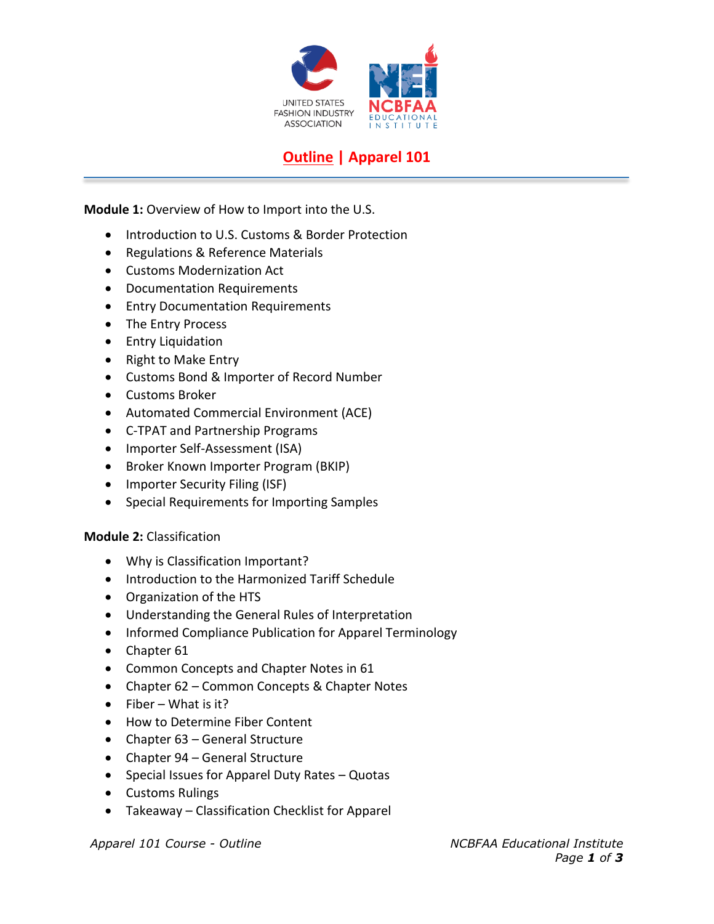

## **Outline | Apparel 101**

**Module 1:** Overview of How to Import into the U.S.

- Introduction to U.S. Customs & Border Protection
- Regulations & Reference Materials
- Customs Modernization Act
- Documentation Requirements
- Entry Documentation Requirements
- The Entry Process
- Entry Liquidation
- Right to Make Entry
- Customs Bond & Importer of Record Number
- Customs Broker
- Automated Commercial Environment (ACE)
- C-TPAT and Partnership Programs
- Importer Self-Assessment (ISA)
- Broker Known Importer Program (BKIP)
- Importer Security Filing (ISF)
- Special Requirements for Importing Samples

## **Module 2:** Classification

- Why is Classification Important?
- Introduction to the Harmonized Tariff Schedule
- Organization of the HTS
- Understanding the General Rules of Interpretation
- Informed Compliance Publication for Apparel Terminology
- Chapter 61
- Common Concepts and Chapter Notes in 61
- Chapter 62 Common Concepts & Chapter Notes
- Fiber What is it?
- How to Determine Fiber Content
- Chapter 63 General Structure
- Chapter 94 General Structure
- Special Issues for Apparel Duty Rates Quotas
- Customs Rulings
- Takeaway Classification Checklist for Apparel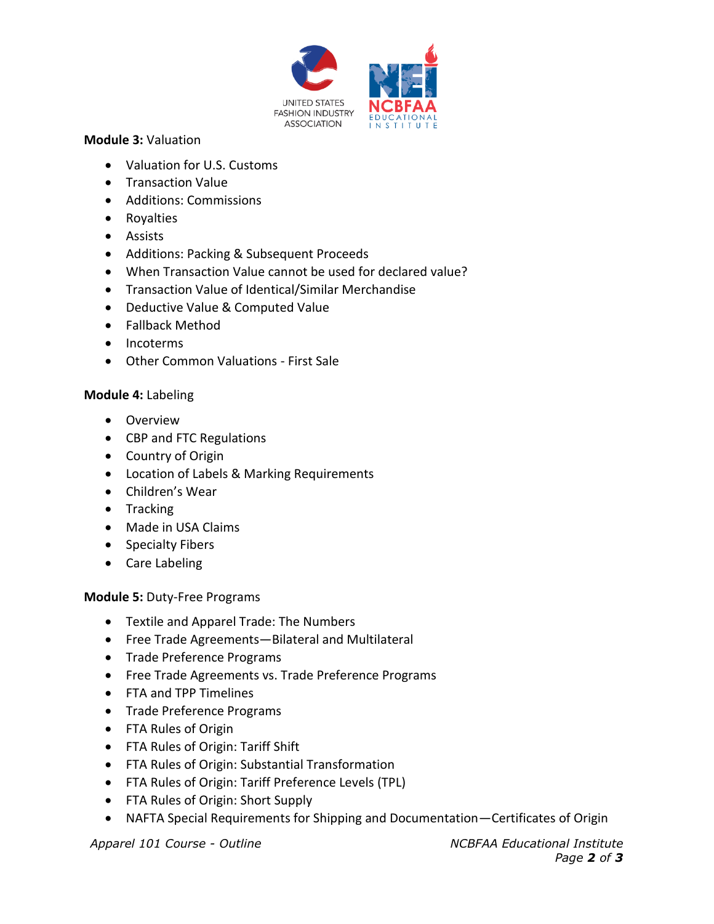

## **Module 3:** Valuation

- Valuation for U.S. Customs
- Transaction Value
- Additions: Commissions
- Royalties
- Assists
- Additions: Packing & Subsequent Proceeds
- When Transaction Value cannot be used for declared value?
- Transaction Value of Identical/Similar Merchandise
- Deductive Value & Computed Value
- Fallback Method
- Incoterms
- Other Common Valuations First Sale

## **Module 4:** Labeling

- Overview
- CBP and FTC Regulations
- Country of Origin
- Location of Labels & Marking Requirements
- Children's Wear
- Tracking
- Made in USA Claims
- Specialty Fibers
- Care Labeling

**Module 5:** Duty-Free Programs

- Textile and Apparel Trade: The Numbers
- Free Trade Agreements—Bilateral and Multilateral
- Trade Preference Programs
- Free Trade Agreements vs. Trade Preference Programs
- FTA and TPP Timelines
- Trade Preference Programs
- FTA Rules of Origin
- FTA Rules of Origin: Tariff Shift
- FTA Rules of Origin: Substantial Transformation
- FTA Rules of Origin: Tariff Preference Levels (TPL)
- FTA Rules of Origin: Short Supply
- NAFTA Special Requirements for Shipping and Documentation—Certificates of Origin

*Apparel 101 Course - Outline NCBFAA Educational Institute Page 2 of 3*